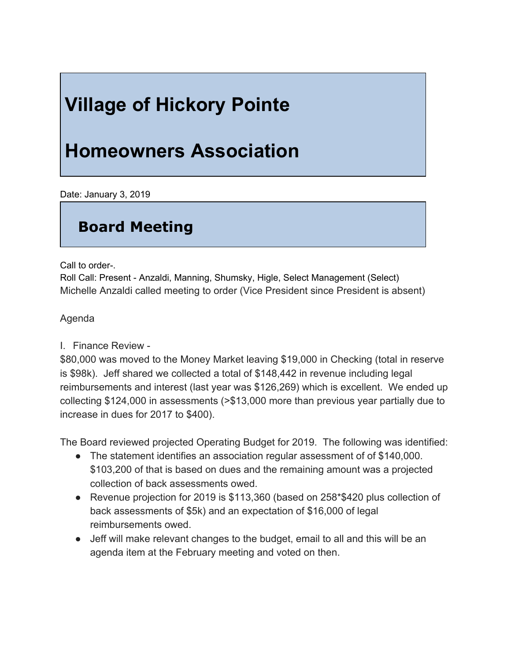# **Village of Hickory Pointe**

## **Homeowners Association**

Date: January 3, 2019

### **Board Meeting**

Call to order-.

Roll Call: Present - Anzaldi, Manning, Shumsky, Higle, Select Management (Select) Michelle Anzaldi called meeting to order (Vice President since President is absent)

### Agenda

### I. Finance Review -

\$80,000 was moved to the Money Market leaving \$19,000 in Checking (total in reserve is \$98k). Jeff shared we collected a total of \$148,442 in revenue including legal reimbursements and interest (last year was \$126,269) which is excellent. We ended up collecting \$124,000 in assessments (>\$13,000 more than previous year partially due to increase in dues for 2017 to \$400).

The Board reviewed projected Operating Budget for 2019. The following was identified:

- The statement identifies an association regular assessment of of \$140,000. \$103,200 of that is based on dues and the remaining amount was a projected collection of back assessments owed.
- Revenue projection for 2019 is \$113,360 (based on 258 \$420 plus collection of back assessments of \$5k) and an expectation of \$16,000 of legal reimbursements owed.
- Jeff will make relevant changes to the budget, email to all and this will be an agenda item at the February meeting and voted on then.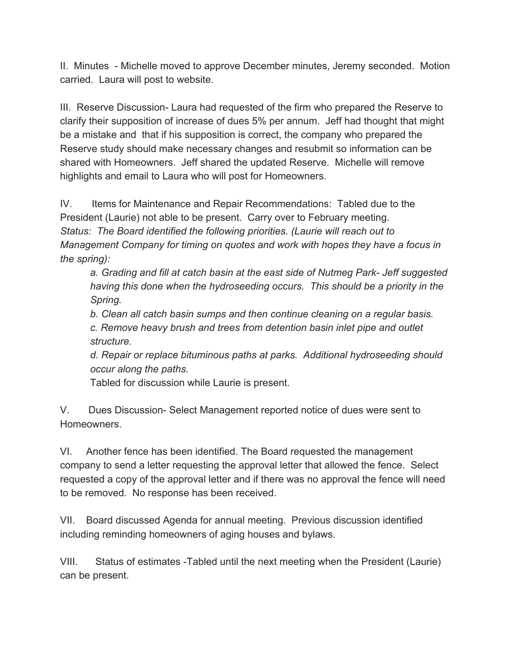II. Minutes - Michelle moved to approve December minutes, Jeremy seconded. Motion carried. Laura will post to website.

III. Reserve Discussion- Laura had requested of the firm who prepared the Reserve to clarify their supposition of increase of dues 5% per annum. Jeff had thought that might be a mistake and that if his supposition is correct, the company who prepared the Reserve study should make necessary changes and resubmit so information can be shared with Homeowners. Jeff shared the updated Reserve. Michelle will remove highlights and email to Laura who will post for Homeowners.

IV. Items for Maintenance and Repair Recommendations: Tabled due to the President (Laurie) not able to be present. Carry over to February meeting. *Status: The Board identified the following priorities. (Laurie will reach out to Management Company for timing on quotes and work with hopes they have a focus in the spring):*

*a. Grading and fill at catch basin at the east side of Nutmeg Park- Jeff suggested having this done when the hydroseeding occurs. This should be a priority in the Spring.*

*b. Clean all catch basin sumps and then continue cleaning on a regular basis.*

*c. Remove heavy brush and trees from detention basin inlet pipe and outlet structure.*

*d. Repair or replace bituminous paths at parks. Additional hydroseeding should occur along the paths.*

Tabled for discussion while Laurie is present.

V. Dues Discussion- Select Management reported notice of dues were sent to Homeowners.

VI. Another fence has been identified. The Board requested the management company to send a letter requesting the approval letter that allowed the fence. Select requested a copy of the approval letter and if there was no approval the fence will need to be removed. No response has been received.

VII. Board discussed Agenda for annual meeting. Previous discussion identified including reminding homeowners of aging houses and bylaws.

VIII. Status of estimates -Tabled until the next meeting when the President (Laurie) can be present.